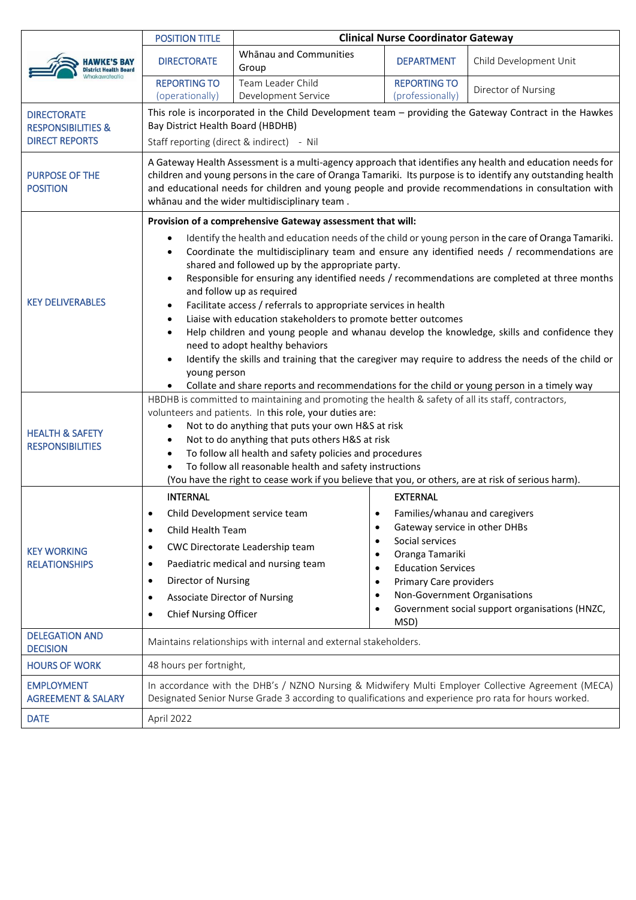|                                                                              | <b>POSITION TITLE</b>                                                                                                                                                                                                                                                                                                                                                             | <b>Clinical Nurse Coordinator Gateway</b>                                                           |                                                  |                                                |
|------------------------------------------------------------------------------|-----------------------------------------------------------------------------------------------------------------------------------------------------------------------------------------------------------------------------------------------------------------------------------------------------------------------------------------------------------------------------------|-----------------------------------------------------------------------------------------------------|--------------------------------------------------|------------------------------------------------|
| <b>District Health Board</b>                                                 | <b>DIRECTORATE</b>                                                                                                                                                                                                                                                                                                                                                                | Whānau and Communities<br>Group                                                                     | <b>DEPARTMENT</b>                                | Child Development Unit                         |
|                                                                              | <b>REPORTING TO</b><br>(operationally)                                                                                                                                                                                                                                                                                                                                            | Team Leader Child<br>Development Service                                                            | <b>REPORTING TO</b><br>(professionally)          | Director of Nursing                            |
| <b>DIRECTORATE</b><br><b>RESPONSIBILITIES &amp;</b><br><b>DIRECT REPORTS</b> | This role is incorporated in the Child Development team - providing the Gateway Contract in the Hawkes<br>Bay District Health Board (HBDHB)<br>Staff reporting (direct & indirect) - Nil                                                                                                                                                                                          |                                                                                                     |                                                  |                                                |
| <b>PURPOSE OF THE</b><br><b>POSITION</b>                                     | A Gateway Health Assessment is a multi-agency approach that identifies any health and education needs for<br>children and young persons in the care of Oranga Tamariki. Its purpose is to identify any outstanding health<br>and educational needs for children and young people and provide recommendations in consultation with<br>whānau and the wider multidisciplinary team. |                                                                                                     |                                                  |                                                |
|                                                                              |                                                                                                                                                                                                                                                                                                                                                                                   | Provision of a comprehensive Gateway assessment that will:                                          |                                                  |                                                |
| <b>KEY DELIVERABLES</b>                                                      | Identify the health and education needs of the child or young person in the care of Oranga Tamariki.<br>$\bullet$<br>Coordinate the multidisciplinary team and ensure any identified needs / recommendations are<br>٠<br>shared and followed up by the appropriate party.                                                                                                         |                                                                                                     |                                                  |                                                |
|                                                                              | Responsible for ensuring any identified needs / recommendations are completed at three months<br>$\bullet$<br>and follow up as required                                                                                                                                                                                                                                           |                                                                                                     |                                                  |                                                |
|                                                                              | Facilitate access / referrals to appropriate services in health<br>$\bullet$                                                                                                                                                                                                                                                                                                      |                                                                                                     |                                                  |                                                |
|                                                                              | Liaise with education stakeholders to promote better outcomes<br>$\bullet$                                                                                                                                                                                                                                                                                                        |                                                                                                     |                                                  |                                                |
|                                                                              | Help children and young people and whanau develop the knowledge, skills and confidence they<br>$\bullet$<br>need to adopt healthy behaviors                                                                                                                                                                                                                                       |                                                                                                     |                                                  |                                                |
|                                                                              | Identify the skills and training that the caregiver may require to address the needs of the child or<br>$\bullet$                                                                                                                                                                                                                                                                 |                                                                                                     |                                                  |                                                |
|                                                                              | young person                                                                                                                                                                                                                                                                                                                                                                      |                                                                                                     |                                                  |                                                |
|                                                                              | Collate and share reports and recommendations for the child or young person in a timely way<br>$\bullet$                                                                                                                                                                                                                                                                          |                                                                                                     |                                                  |                                                |
| <b>HEALTH &amp; SAFETY</b><br><b>RESPONSIBILITIES</b>                        | HBDHB is committed to maintaining and promoting the health & safety of all its staff, contractors,<br>volunteers and patients. In this role, your duties are:                                                                                                                                                                                                                     |                                                                                                     |                                                  |                                                |
|                                                                              | Not to do anything that puts your own H&S at risk<br>$\bullet$                                                                                                                                                                                                                                                                                                                    |                                                                                                     |                                                  |                                                |
|                                                                              | Not to do anything that puts others H&S at risk<br>$\bullet$                                                                                                                                                                                                                                                                                                                      |                                                                                                     |                                                  |                                                |
|                                                                              | To follow all health and safety policies and procedures<br>$\bullet$                                                                                                                                                                                                                                                                                                              |                                                                                                     |                                                  |                                                |
|                                                                              | To follow all reasonable health and safety instructions                                                                                                                                                                                                                                                                                                                           |                                                                                                     |                                                  |                                                |
|                                                                              |                                                                                                                                                                                                                                                                                                                                                                                   | (You have the right to cease work if you believe that you, or others, are at risk of serious harm). |                                                  |                                                |
| <b>KEY WORKING</b><br><b>RELATIONSHIPS</b>                                   | <b>INTERNAL</b>                                                                                                                                                                                                                                                                                                                                                                   |                                                                                                     | <b>EXTERNAL</b>                                  |                                                |
|                                                                              |                                                                                                                                                                                                                                                                                                                                                                                   | Child Development service team<br>$\bullet$                                                         | Families/whanau and caregivers                   |                                                |
|                                                                              | Child Health Team<br>٠                                                                                                                                                                                                                                                                                                                                                            | $\bullet$<br>$\bullet$                                                                              | Gateway service in other DHBs<br>Social services |                                                |
|                                                                              | ٠                                                                                                                                                                                                                                                                                                                                                                                 | CWC Directorate Leadership team<br>$\bullet$                                                        | Oranga Tamariki                                  |                                                |
|                                                                              | ٠                                                                                                                                                                                                                                                                                                                                                                                 | Paediatric medical and nursing team<br>$\bullet$                                                    | <b>Education Services</b>                        |                                                |
|                                                                              | Director of Nursing<br>$\bullet$                                                                                                                                                                                                                                                                                                                                                  | $\bullet$                                                                                           | <b>Primary Care providers</b>                    |                                                |
|                                                                              | <b>Associate Director of Nursing</b><br>٠                                                                                                                                                                                                                                                                                                                                         | $\bullet$                                                                                           | Non-Government Organisations                     |                                                |
|                                                                              | <b>Chief Nursing Officer</b><br>$\bullet$                                                                                                                                                                                                                                                                                                                                         | $\bullet$                                                                                           | MSD)                                             | Government social support organisations (HNZC, |
| <b>DELEGATION AND</b><br><b>DECISION</b>                                     | Maintains relationships with internal and external stakeholders.                                                                                                                                                                                                                                                                                                                  |                                                                                                     |                                                  |                                                |
| <b>HOURS OF WORK</b>                                                         | 48 hours per fortnight,                                                                                                                                                                                                                                                                                                                                                           |                                                                                                     |                                                  |                                                |
| <b>EMPLOYMENT</b><br><b>AGREEMENT &amp; SALARY</b>                           | In accordance with the DHB's / NZNO Nursing & Midwifery Multi Employer Collective Agreement (MECA)<br>Designated Senior Nurse Grade 3 according to qualifications and experience pro rata for hours worked.                                                                                                                                                                       |                                                                                                     |                                                  |                                                |
| <b>DATE</b>                                                                  | April 2022                                                                                                                                                                                                                                                                                                                                                                        |                                                                                                     |                                                  |                                                |